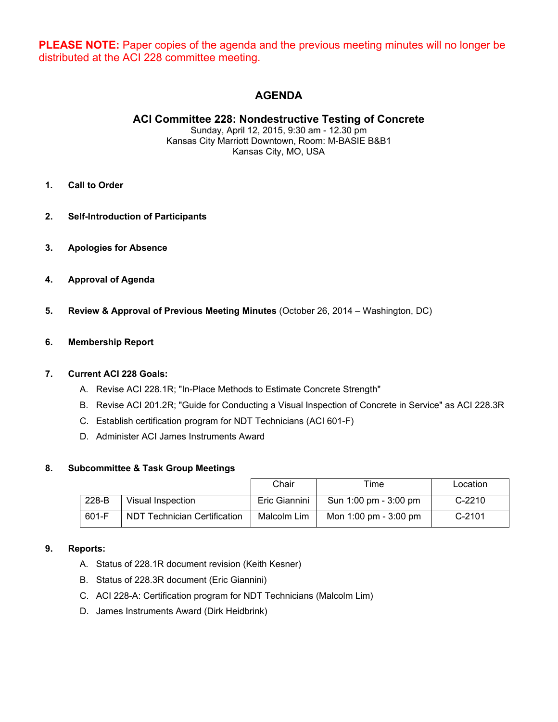**PLEASE NOTE:** Paper copies of the agenda and the previous meeting minutes will no longer be distributed at the ACI 228 committee meeting.

# **AGENDA**

**ACI Committee 228: Nondestructive Testing of Concrete** 

Sunday, April 12, 2015, 9:30 am - 12.30 pm Kansas City Marriott Downtown, Room: M-BASIE B&B1 Kansas City, MO, USA

- **1. Call to Order**
- **2. Self-Introduction of Participants**
- **3. Apologies for Absence**
- **4. Approval of Agenda**
- **5. Review & Approval of Previous Meeting Minutes** (October 26, 2014 Washington, DC)

### **6. Membership Report**

#### **7. Current ACI 228 Goals:**

- A. Revise ACI 228.1R; "In-Place Methods to Estimate Concrete Strength"
- B. Revise ACI 201.2R; "Guide for Conducting a Visual Inspection of Concrete in Service" as ACI 228.3R
- C. Establish certification program for NDT Technicians (ACI 601-F)
- D. Administer ACI James Instruments Award

### **8. Subcommittee & Task Group Meetings**

|       |                              | Chair         | Time                  | Location |
|-------|------------------------------|---------------|-----------------------|----------|
| 228-B | Visual Inspection            | Eric Giannini | Sun 1:00 pm - 3:00 pm | $C-2210$ |
| 601-F | NDT Technician Certification | Malcolm Lim   | Mon 1:00 pm - 3:00 pm | $C-2101$ |

### **9. Reports:**

- A. Status of 228.1R document revision (Keith Kesner)
- B. Status of 228.3R document (Eric Giannini)
- C. ACI 228-A: Certification program for NDT Technicians (Malcolm Lim)
- D. James Instruments Award (Dirk Heidbrink)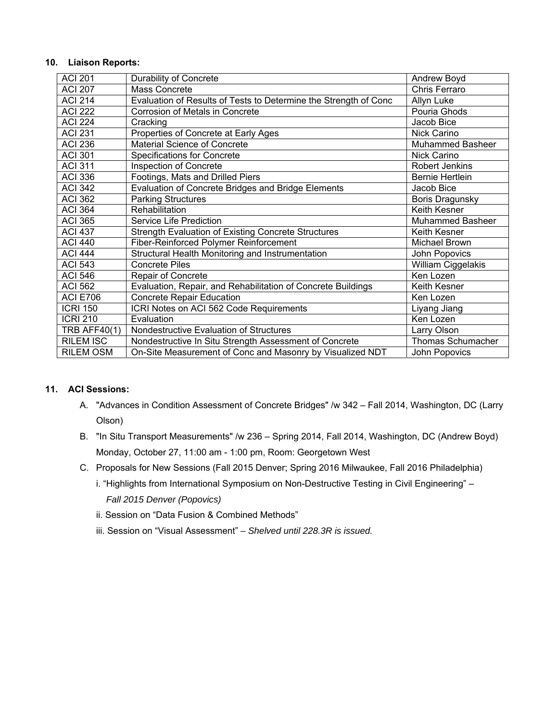#### **10. Liaison Reports:**

| <b>ACI 201</b>      | Durability of Concrete                                           | Andrew Boyd              |
|---------------------|------------------------------------------------------------------|--------------------------|
| <b>ACI 207</b>      | Mass Concrete                                                    | Chris Ferraro            |
| <b>ACI 214</b>      | Evaluation of Results of Tests to Determine the Strength of Conc | Allyn Luke               |
| <b>ACI 222</b>      | Corrosion of Metals in Concrete                                  | Pouria Ghods             |
| <b>ACI 224</b>      | Cracking                                                         | Jacob Bice               |
| <b>ACI 231</b>      | Properties of Concrete at Early Ages                             | Nick Carino              |
| <b>ACI 236</b>      | <b>Material Science of Concrete</b>                              | <b>Muhammed Basheer</b>  |
| <b>ACI 301</b>      | <b>Specifications for Concrete</b>                               | Nick Carino              |
| <b>ACI 311</b>      | <b>Inspection of Concrete</b>                                    | Robert Jenkins           |
| <b>ACI 336</b>      | Footings, Mats and Drilled Piers                                 | <b>Bernie Hertlein</b>   |
| <b>ACI 342</b>      | Evaluation of Concrete Bridges and Bridge Elements               | Jacob Bice               |
| <b>ACI 362</b>      | <b>Parking Structures</b>                                        | Boris Dragunsky          |
| <b>ACI 364</b>      | Rehabilitation                                                   | Keith Kesner             |
| <b>ACI 365</b>      | Service Life Prediction                                          | <b>Muhammed Basheer</b>  |
| <b>ACI 437</b>      | <b>Strength Evaluation of Existing Concrete Structures</b>       | Keith Kesner             |
| <b>ACI 440</b>      | Fiber-Reinforced Polymer Reinforcement                           | Michael Brown            |
| <b>ACI 444</b>      | Structural Health Monitoring and Instrumentation                 | John Popovics            |
| <b>ACI 543</b>      | <b>Concrete Piles</b>                                            | William Ciggelakis       |
| <b>ACI 546</b>      | Repair of Concrete                                               | Ken Lozen                |
| <b>ACI 562</b>      | Evaluation, Repair, and Rehabilitation of Concrete Buildings     | Keith Kesner             |
| <b>ACI E706</b>     | <b>Concrete Repair Education</b>                                 | Ken Lozen                |
| <b>ICRI 150</b>     | ICRI Notes on ACI 562 Code Requirements                          | Liyang Jiang             |
| <b>ICRI 210</b>     | Evaluation                                                       | Ken Lozen                |
| <b>TRB AFF40(1)</b> | Nondestructive Evaluation of Structures                          | Larry Olson              |
| <b>RILEM ISC</b>    | Nondestructive In Situ Strength Assessment of Concrete           | <b>Thomas Schumacher</b> |
| <b>RILEM OSM</b>    | On-Site Measurement of Conc and Masonry by Visualized NDT        | John Popovics            |

# **11. ACI Sessions:**

- A. "Advances in Condition Assessment of Concrete Bridges" /w 342 Fall 2014, Washington, DC (Larry Olson)
- B. "In Situ Transport Measurements" /w 236 Spring 2014, Fall 2014, Washington, DC (Andrew Boyd) Monday, October 27, 11:00 am - 1:00 pm, Room: Georgetown West
- C. Proposals for New Sessions (Fall 2015 Denver; Spring 2016 Milwaukee, Fall 2016 Philadelphia)
	- i. "Highlights from International Symposium on Non-Destructive Testing in Civil Engineering" *Fall 2015 Denver (Popovics)*
	- ii. Session on "Data Fusion & Combined Methods"
	- iii. Session on "Visual Assessment"  *Shelved until 228.3R is issued.*